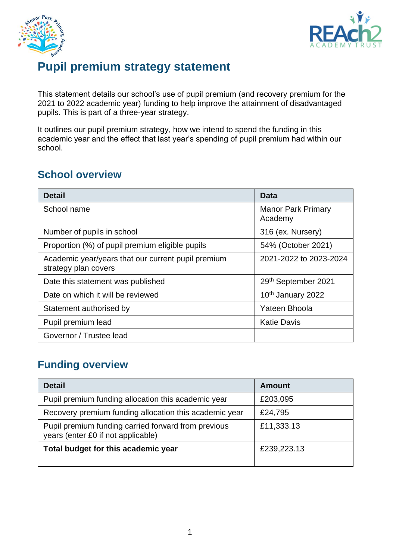



# **Pupil premium strategy statement**

This statement details our school's use of pupil premium (and recovery premium for the 2021 to 2022 academic year) funding to help improve the attainment of disadvantaged pupils. This is part of a three-year strategy.

It outlines our pupil premium strategy, how we intend to spend the funding in this academic year and the effect that last year's spending of pupil premium had within our school.

### **School overview**

| <b>Detail</b>                                                              | Data                                 |
|----------------------------------------------------------------------------|--------------------------------------|
| School name                                                                | <b>Manor Park Primary</b><br>Academy |
| Number of pupils in school                                                 | 316 (ex. Nursery)                    |
| Proportion (%) of pupil premium eligible pupils                            | 54% (October 2021)                   |
| Academic year/years that our current pupil premium<br>strategy plan covers | 2021-2022 to 2023-2024               |
| Date this statement was published                                          | 29th September 2021                  |
| Date on which it will be reviewed                                          | 10th January 2022                    |
| Statement authorised by                                                    | Yateen Bhoola                        |
| Pupil premium lead                                                         | <b>Katie Davis</b>                   |
| Governor / Trustee lead                                                    |                                      |

## **Funding overview**

| <b>Detail</b>                                                                             | <b>Amount</b> |
|-------------------------------------------------------------------------------------------|---------------|
| Pupil premium funding allocation this academic year                                       | £203,095      |
| Recovery premium funding allocation this academic year                                    | £24,795       |
| Pupil premium funding carried forward from previous<br>years (enter £0 if not applicable) | £11,333.13    |
| Total budget for this academic year                                                       | £239,223.13   |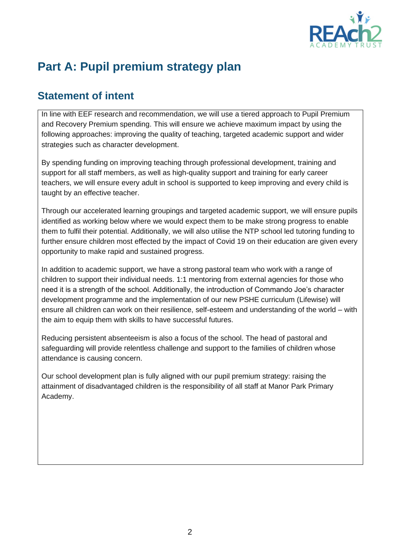

# **Part A: Pupil premium strategy plan**

## **Statement of intent**

In line with EEF research and recommendation, we will use a tiered approach to Pupil Premium and Recovery Premium spending. This will ensure we achieve maximum impact by using the following approaches: improving the quality of teaching, targeted academic support and wider strategies such as character development.

By spending funding on improving teaching through professional development, training and support for all staff members, as well as high-quality support and training for early career teachers, we will ensure every adult in school is supported to keep improving and every child is taught by an effective teacher.

Through our accelerated learning groupings and targeted academic support, we will ensure pupils identified as working below where we would expect them to be make strong progress to enable them to fulfil their potential. Additionally, we will also utilise the NTP school led tutoring funding to further ensure children most effected by the impact of Covid 19 on their education are given every opportunity to make rapid and sustained progress.

In addition to academic support, we have a strong pastoral team who work with a range of children to support their individual needs. 1:1 mentoring from external agencies for those who need it is a strength of the school. Additionally, the introduction of Commando Joe's character development programme and the implementation of our new PSHE curriculum (Lifewise) will ensure all children can work on their resilience, self-esteem and understanding of the world – with the aim to equip them with skills to have successful futures.

Reducing persistent absenteeism is also a focus of the school. The head of pastoral and safeguarding will provide relentless challenge and support to the families of children whose attendance is causing concern.

Our school development plan is fully aligned with our pupil premium strategy: raising the attainment of disadvantaged children is the responsibility of all staff at Manor Park Primary Academy.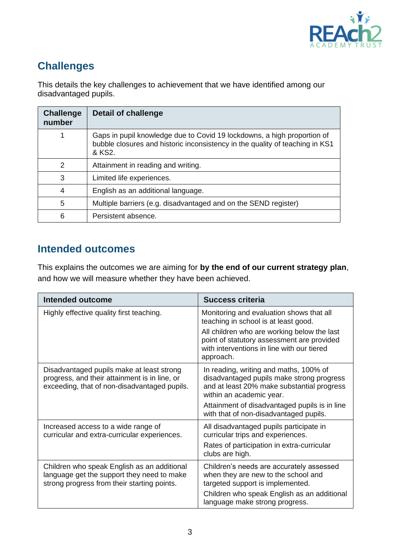

## **Challenges**

This details the key challenges to achievement that we have identified among our disadvantaged pupils.

| <b>Challenge</b><br>number | <b>Detail of challenge</b>                                                                                                                                        |
|----------------------------|-------------------------------------------------------------------------------------------------------------------------------------------------------------------|
|                            | Gaps in pupil knowledge due to Covid 19 lockdowns, a high proportion of<br>bubble closures and historic inconsistency in the quality of teaching in KS1<br>& KS2. |
| 2                          | Attainment in reading and writing.                                                                                                                                |
| 3                          | Limited life experiences.                                                                                                                                         |
| 4                          | English as an additional language.                                                                                                                                |
| 5                          | Multiple barriers (e.g. disadvantaged and on the SEND register)                                                                                                   |
| 6                          | Persistent absence.                                                                                                                                               |

## **Intended outcomes**

This explains the outcomes we are aiming for **by the end of our current strategy plan**, and how we will measure whether they have been achieved.

| Intended outcome                                                                                                                           | Success criteria                                                                                                                                                                                     |
|--------------------------------------------------------------------------------------------------------------------------------------------|------------------------------------------------------------------------------------------------------------------------------------------------------------------------------------------------------|
| Highly effective quality first teaching.                                                                                                   | Monitoring and evaluation shows that all<br>teaching in school is at least good.                                                                                                                     |
|                                                                                                                                            | All children who are working below the last<br>point of statutory assessment are provided<br>with interventions in line with our tiered<br>approach.                                                 |
| Disadvantaged pupils make at least strong<br>progress, and their attainment is in line, or<br>exceeding, that of non-disadvantaged pupils. | In reading, writing and maths, 100% of<br>disadvantaged pupils make strong progress<br>and at least 20% make substantial progress<br>within an academic year.                                        |
|                                                                                                                                            | Attainment of disadvantaged pupils is in line<br>with that of non-disadvantaged pupils.                                                                                                              |
| Increased access to a wide range of<br>curricular and extra-curricular experiences.                                                        | All disadvantaged pupils participate in<br>curricular trips and experiences.<br>Rates of participation in extra-curricular<br>clubs are high.                                                        |
| Children who speak English as an additional<br>language get the support they need to make<br>strong progress from their starting points.   | Children's needs are accurately assessed<br>when they are new to the school and<br>targeted support is implemented.<br>Children who speak English as an additional<br>language make strong progress. |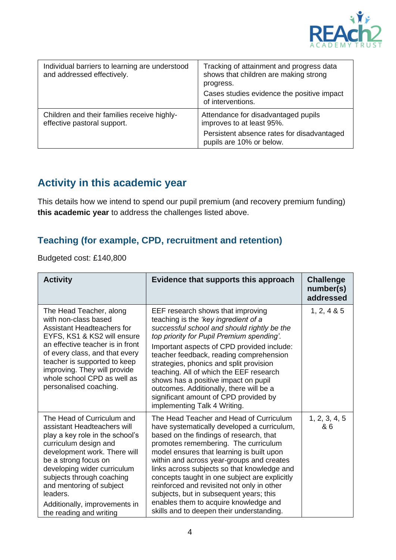

| Individual barriers to learning are understood<br>and addressed effectively. | Tracking of attainment and progress data<br>shows that children are making strong<br>progress.<br>Cases studies evidence the positive impact<br>of interventions. |
|------------------------------------------------------------------------------|-------------------------------------------------------------------------------------------------------------------------------------------------------------------|
| Children and their families receive highly-<br>effective pastoral support.   | Attendance for disadvantaged pupils<br>improves to at least 95%.                                                                                                  |
|                                                                              | Persistent absence rates for disadvantaged<br>pupils are 10% or below.                                                                                            |

## **Activity in this academic year**

This details how we intend to spend our pupil premium (and recovery premium funding) **this academic year** to address the challenges listed above.

### **Teaching (for example, CPD, recruitment and retention)**

Budgeted cost: £140,800

| <b>Activity</b>                                                                                                                                                                                                                                                                                                                               | Evidence that supports this approach                                                                                                                                                                                                                                                                                                                                                                                                                                                                                                               | <b>Challenge</b><br>number(s)<br>addressed |
|-----------------------------------------------------------------------------------------------------------------------------------------------------------------------------------------------------------------------------------------------------------------------------------------------------------------------------------------------|----------------------------------------------------------------------------------------------------------------------------------------------------------------------------------------------------------------------------------------------------------------------------------------------------------------------------------------------------------------------------------------------------------------------------------------------------------------------------------------------------------------------------------------------------|--------------------------------------------|
| The Head Teacher, along<br>with non-class based<br>Assistant Headteachers for<br>EYFS, KS1 & KS2 will ensure<br>an effective teacher is in front<br>of every class, and that every<br>teacher is supported to keep<br>improving. They will provide<br>whole school CPD as well as<br>personalised coaching.                                   | EEF research shows that improving<br>teaching is the 'key ingredient of a<br>successful school and should rightly be the<br>top priority for Pupil Premium spending'.<br>Important aspects of CPD provided include:<br>teacher feedback, reading comprehension<br>strategies, phonics and split provision<br>teaching. All of which the EEF research<br>shows has a positive impact on pupil<br>outcomes. Additionally, there will be a<br>significant amount of CPD provided by<br>implementing Talk 4 Writing.                                   | 1, 2, 4 & 8 & 5                            |
| The Head of Curriculum and<br>assistant Headteachers will<br>play a key role in the school's<br>curriculum design and<br>development work. There will<br>be a strong focus on<br>developing wider curriculum<br>subjects through coaching<br>and mentoring of subject<br>leaders.<br>Additionally, improvements in<br>the reading and writing | The Head Teacher and Head of Curriculum<br>have systematically developed a curriculum,<br>based on the findings of research, that<br>promotes remembering. The curriculum<br>model ensures that learning is built upon<br>within and across year-groups and creates<br>links across subjects so that knowledge and<br>concepts taught in one subject are explicitly<br>reinforced and revisited not only in other<br>subjects, but in subsequent years; this<br>enables them to acquire knowledge and<br>skills and to deepen their understanding. | 1, 2, 3, 4, 5<br>& 6                       |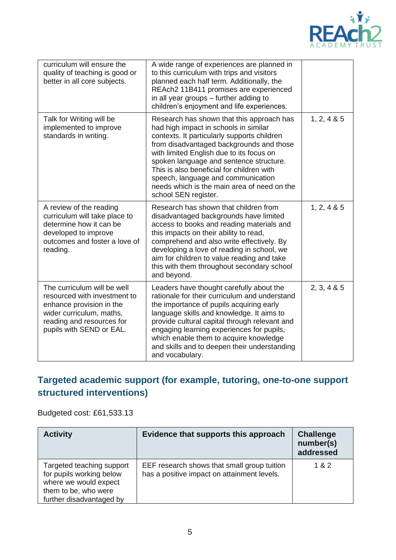

| curriculum will ensure the<br>quality of teaching is good or<br>better in all core subjects.                                                                                 | A wide range of experiences are planned in<br>to this curriculum with trips and visitors<br>planned each half term. Additionally, the<br>REAch2 11B411 promises are experienced<br>in all year groups – further adding to<br>children's enjoyment and life experiences.                                                                                                                                                        |                 |
|------------------------------------------------------------------------------------------------------------------------------------------------------------------------------|--------------------------------------------------------------------------------------------------------------------------------------------------------------------------------------------------------------------------------------------------------------------------------------------------------------------------------------------------------------------------------------------------------------------------------|-----------------|
| Talk for Writing will be<br>implemented to improve<br>standards in writing.                                                                                                  | Research has shown that this approach has<br>had high impact in schools in similar<br>contexts. It particularly supports children<br>from disadvantaged backgrounds and those<br>with limited English due to its focus on<br>spoken language and sentence structure.<br>This is also beneficial for children with<br>speech, language and communication<br>needs which is the main area of need on the<br>school SEN register. | 1, 2, 4 & 8 & 5 |
| A review of the reading<br>curriculum will take place to<br>determine how it can be<br>developed to improve<br>outcomes and foster a love of<br>reading.                     | Research has shown that children from<br>disadvantaged backgrounds have limited<br>access to books and reading materials and<br>this impacts on their ability to read,<br>comprehend and also write effectively. By<br>developing a love of reading in school, we<br>aim for children to value reading and take<br>this with them throughout secondary school<br>and beyond.                                                   | 1, 2, 4 & 8 & 5 |
| The curriculum will be well<br>resourced with investment to<br>enhance provision in the<br>wider curriculum, maths,<br>reading and resources for<br>pupils with SEND or EAL. | Leaders have thought carefully about the<br>rationale for their curriculum and understand<br>the importance of pupils acquiring early<br>language skills and knowledge. It aims to<br>provide cultural capital through relevant and<br>engaging learning experiences for pupils,<br>which enable them to acquire knowledge<br>and skills and to deepen their understanding<br>and vocabulary.                                  | 2, 3, 4 & 8 & 5 |

## **Targeted academic support (for example, tutoring, one-to-one support structured interventions)**

### Budgeted cost: £61,533.13

| <b>Activity</b>                                                                                                                    | Evidence that supports this approach                                                       | <b>Challenge</b><br>number(s)<br>addressed |
|------------------------------------------------------------------------------------------------------------------------------------|--------------------------------------------------------------------------------------------|--------------------------------------------|
| Targeted teaching support<br>for pupils working below<br>where we would expect<br>them to be, who were<br>further disadvantaged by | EEF research shows that small group tuition<br>has a positive impact on attainment levels. | 1 & 2                                      |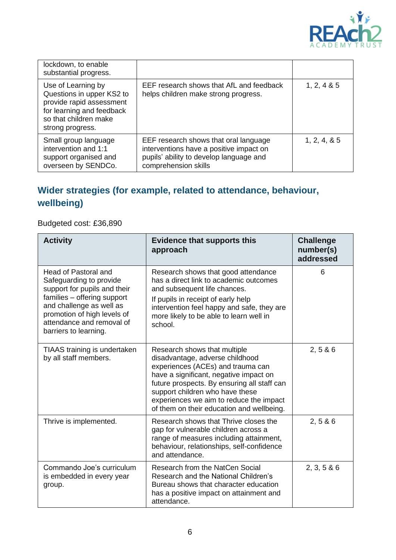

| lockdown, to enable<br>substantial progress.                                                                                                          |                                                                                                                                                     |               |
|-------------------------------------------------------------------------------------------------------------------------------------------------------|-----------------------------------------------------------------------------------------------------------------------------------------------------|---------------|
| Use of Learning by<br>Questions in upper KS2 to<br>provide rapid assessment<br>for learning and feedback<br>so that children make<br>strong progress. | EEF research shows that AfL and feedback<br>helps children make strong progress.                                                                    | 1, 2, 4 & 85  |
| Small group language<br>intervention and 1:1<br>support organised and<br>overseen by SENDCo.                                                          | EEF research shows that oral language<br>interventions have a positive impact on<br>pupils' ability to develop language and<br>comprehension skills | 1, 2, 4, 8, 5 |

## **Wider strategies (for example, related to attendance, behaviour, wellbeing)**

Budgeted cost: £36,890

| <b>Activity</b>                                                                                                                                                                                                                 | <b>Evidence that supports this</b><br>approach                                                                                                                                                                                                                                                                           | <b>Challenge</b><br>number(s)<br>addressed |
|---------------------------------------------------------------------------------------------------------------------------------------------------------------------------------------------------------------------------------|--------------------------------------------------------------------------------------------------------------------------------------------------------------------------------------------------------------------------------------------------------------------------------------------------------------------------|--------------------------------------------|
| Head of Pastoral and<br>Safeguarding to provide<br>support for pupils and their<br>families - offering support<br>and challenge as well as<br>promotion of high levels of<br>attendance and removal of<br>barriers to learning. | Research shows that good attendance<br>has a direct link to academic outcomes<br>and subsequent life chances.<br>If pupils in receipt of early help<br>intervention feel happy and safe, they are<br>more likely to be able to learn well in<br>school.                                                                  | 6                                          |
| TIAAS training is undertaken<br>by all staff members.                                                                                                                                                                           | Research shows that multiple<br>disadvantage, adverse childhood<br>experiences (ACEs) and trauma can<br>have a significant, negative impact on<br>future prospects. By ensuring all staff can<br>support children who have these<br>experiences we aim to reduce the impact<br>of them on their education and wellbeing. | 2, 586                                     |
| Thrive is implemented.                                                                                                                                                                                                          | Research shows that Thrive closes the<br>gap for vulnerable children across a<br>range of measures including attainment,<br>behaviour, relationships, self-confidence<br>and attendance.                                                                                                                                 | 2, 586                                     |
| Commando Joe's curriculum<br>is embedded in every year<br>group.                                                                                                                                                                | Research from the NatCen Social<br>Research and the National Children's<br>Bureau shows that character education<br>has a positive impact on attainment and<br>attendance.                                                                                                                                               | 2, 3, 5 & 6                                |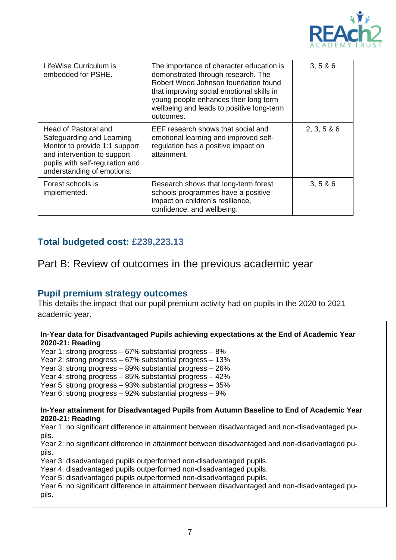

| LifeWise Curriculum is<br>embedded for PSHE.                                                                                                                                       | The importance of character education is<br>demonstrated through research. The<br>Robert Wood Johnson foundation found<br>that improving social emotional skills in<br>young people enhances their long term<br>wellbeing and leads to positive long-term<br>outcomes. | 3, 586      |
|------------------------------------------------------------------------------------------------------------------------------------------------------------------------------------|------------------------------------------------------------------------------------------------------------------------------------------------------------------------------------------------------------------------------------------------------------------------|-------------|
| Head of Pastoral and<br>Safeguarding and Learning<br>Mentor to provide 1:1 support<br>and intervention to support<br>pupils with self-regulation and<br>understanding of emotions. | EEF research shows that social and<br>emotional learning and improved self-<br>regulation has a positive impact on<br>attainment.                                                                                                                                      | 2, 3, 5 & 6 |
| Forest schools is<br>implemented.                                                                                                                                                  | Research shows that long-term forest<br>schools programmes have a positive<br>impact on children's resilience,<br>confidence, and wellbeing.                                                                                                                           | 3, 586      |

### **Total budgeted cost: £239,223.13**

### Part B: Review of outcomes in the previous academic year

#### **Pupil premium strategy outcomes**

This details the impact that our pupil premium activity had on pupils in the 2020 to 2021 academic year.

#### **In-Year data for Disadvantaged Pupils achieving expectations at the End of Academic Year 2020-21: Reading**

Year 1: strong progress – 67% substantial progress – 8%

Year 2: strong progress – 67% substantial progress – 13%

Year 3: strong progress – 89% substantial progress – 26%

Year 4: strong progress – 85% substantial progress – 42%

Year 5: strong progress – 93% substantial progress – 35%

Year 6: strong progress – 92% substantial progress – 9%

#### **In-Year attainment for Disadvantaged Pupils from Autumn Baseline to End of Academic Year 2020-21: Reading**

Year 1: no significant difference in attainment between disadvantaged and non-disadvantaged pupils.

Year 2: no significant difference in attainment between disadvantaged and non-disadvantaged pupils.

Year 3: disadvantaged pupils outperformed non-disadvantaged pupils.

Year 4: disadvantaged pupils outperformed non-disadvantaged pupils.

Year 5: disadvantaged pupils outperformed non-disadvantaged pupils.

Year 6: no significant difference in attainment between disadvantaged and non-disadvantaged pupils.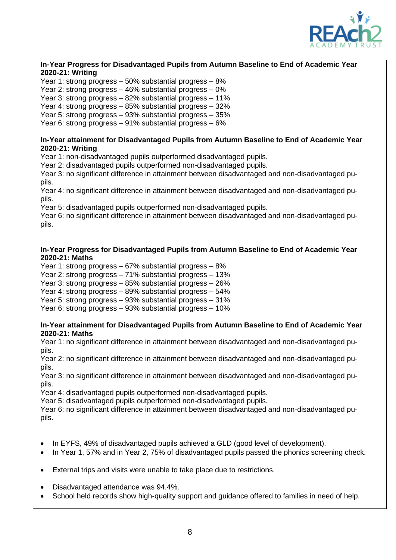

#### **In-Year Progress for Disadvantaged Pupils from Autumn Baseline to End of Academic Year 2020-21: Writing**

Year 1: strong progress – 50% substantial progress – 8%

Year 2: strong progress – 46% substantial progress – 0%

Year 3: strong progress – 82% substantial progress – 11%

Year 4: strong progress – 85% substantial progress – 32%

Year 5: strong progress – 93% substantial progress – 35%

Year 6: strong progress – 91% substantial progress – 6%

#### **In-Year attainment for Disadvantaged Pupils from Autumn Baseline to End of Academic Year 2020-21: Writing**

Year 1: non-disadvantaged pupils outperformed disadvantaged pupils.

Year 2: disadvantaged pupils outperformed non-disadvantaged pupils.

Year 3: no significant difference in attainment between disadvantaged and non-disadvantaged pupils.

Year 4: no significant difference in attainment between disadvantaged and non-disadvantaged pupils.

Year 5: disadvantaged pupils outperformed non-disadvantaged pupils.

Year 6: no significant difference in attainment between disadvantaged and non-disadvantaged pupils.

#### **In-Year Progress for Disadvantaged Pupils from Autumn Baseline to End of Academic Year 2020-21: Maths**

Year 1: strong progress – 67% substantial progress – 8%

Year 2: strong progress – 71% substantial progress – 13%

Year 3: strong progress – 85% substantial progress – 26%

Year 4: strong progress – 89% substantial progress – 54%

Year 5: strong progress – 93% substantial progress – 31%

Year 6: strong progress – 93% substantial progress – 10%

#### **In-Year attainment for Disadvantaged Pupils from Autumn Baseline to End of Academic Year 2020-21: Maths**

Year 1: no significant difference in attainment between disadvantaged and non-disadvantaged pupils.

Year 2: no significant difference in attainment between disadvantaged and non-disadvantaged pupils.

Year 3: no significant difference in attainment between disadvantaged and non-disadvantaged pupils.

Year 4: disadvantaged pupils outperformed non-disadvantaged pupils.

Year 5: disadvantaged pupils outperformed non-disadvantaged pupils.

Year 6: no significant difference in attainment between disadvantaged and non-disadvantaged pupils.

- In EYFS, 49% of disadvantaged pupils achieved a GLD (good level of development).
- In Year 1, 57% and in Year 2, 75% of disadvantaged pupils passed the phonics screening check.
- External trips and visits were unable to take place due to restrictions.
- Disadvantaged attendance was 94.4%.
- School held records show high-quality support and guidance offered to families in need of help.